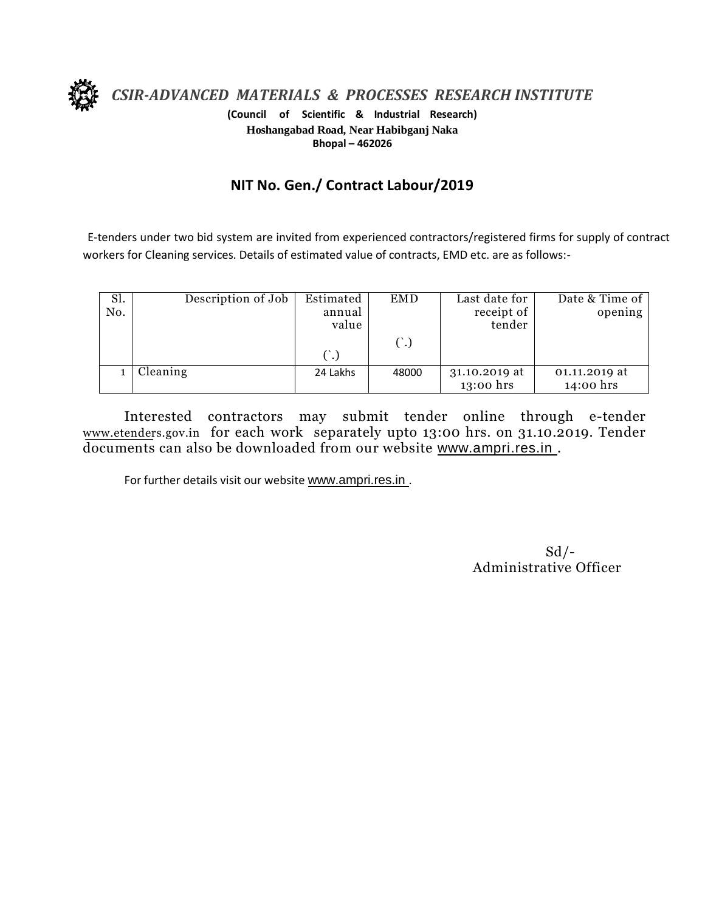

*CSIR-ADVANCED MATERIALS & PROCESSES RESEARCH INSTITUTE*

**(Council of Scientific & Industrial Research) Hoshangabad Road, Near Habibganj Naka Bhopal – 462026**

## **NIT No. Gen./ Contract Labour/2019**

E-tenders under two bid system are invited from experienced contractors/registered firms for supply of contract workers for Cleaning services. Details of estimated value of contracts, EMD etc. are as follows:-

| Sl.<br>No. | Description of Job | Estimated<br><b>EMD</b><br>annual<br>value |       | Last date for<br>receipt of<br>tender | Date & Time of<br>opening  |
|------------|--------------------|--------------------------------------------|-------|---------------------------------------|----------------------------|
|            |                    | (.)                                        |       |                                       |                            |
|            | Cleaning           | 24 Lakhs                                   | 48000 | 31.10.2019 at<br>13:00 hrs            | 01.11.2019 at<br>14:00 hrs |

Interested contractors may submit tender online through e-tender www.etenders.gov.in for each work separately upto 13:00 hrs. on 31.10.2019. Tender documents can also be downloaded from our website [www.ampri.res.in](http://www.rrlbpl.org/) .

For further details visit our website www.ampri.res.in.

 $Sd$  /-Administrative Officer